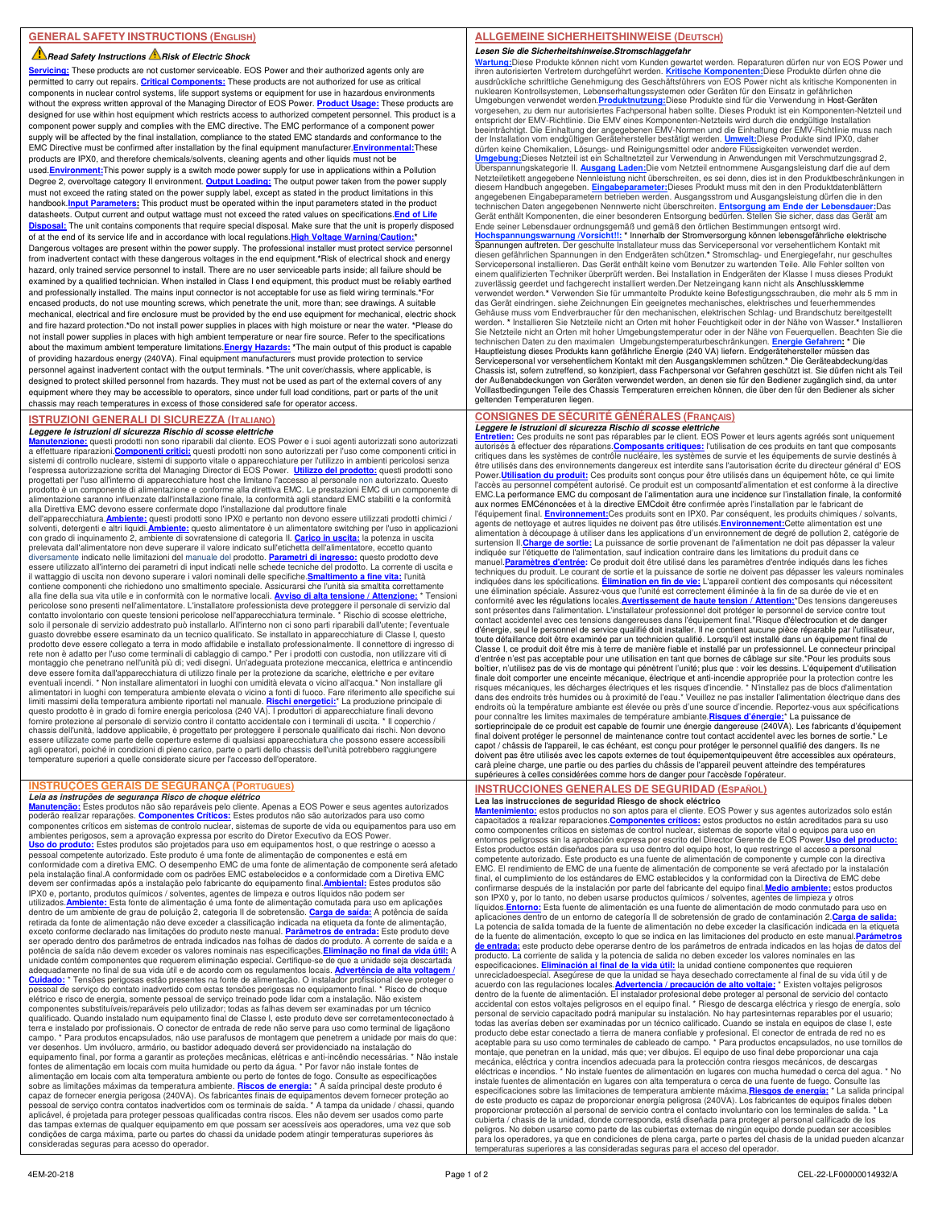### **Read Safety Instructions A Risk of Electric Shock**

**Servicing:** These products are not customer serviceable. EOS Power and their authorized agents only are permitted to carry out repairs. **Critical Components:** These products are not authorized for use as critical components in nuclear control systems, life support systems or equipment for use in hazardous environments without the express written approval of the Managing Director of EOS Power. **Product Usage:** These products are designed for use within host equipment which restricts access to authorized competent personnel. This product is a component power supply and complies with the EMC directive. The EMC performance of a component power supply will be affected by the final installation, compliance to the stated EMC standards and conformance to the EMC Directive must be confirmed after installation by the final equipment manufacturer.**Environmental:**These products are IPX0, and therefore chemicals/solvents, cleaning agents and other liquids must not be used.**Environment:**This power supply is a switch mode power supply for use in applications within a Pollution Degree 2, overvoltage category II environment. **Output Loading:** The output power taken from the power supply must not exceed the rating stated on the power supply label, except as stated in the product limitations in this handbook.<mark>Input Parameters:</mark> This product must be operated within the input parameters stated in the product<br>datasheets. Output current and output wattage must not exceed the rated values on specifications.<mark>End of Life</mark> Disposal: The unit contains components that require special disposal. Make sure that the unit is properly dispo of at the end of its service life and in accordance with local regulations. High Voltage Warning/Cau Dangerous voltages are present within the power supply. The professional installer must protect service personnel from inadvertent contact with these dangerous voltages in the end equipment.**\***Risk of electrical shock and energy hazard, only trained service personnel to install. There are no user serviceable parts inside; all failure should be examined by a qualified technician. When installed in Class I end equipment, this product must be reliably earthed and professionally installed. The mains input connector is not acceptable for use as field wiring terminals.**\***For encased products, do not use mounting screws, which penetrate the unit, more than; see drawings. A suitable mechanical, electrical and fire enclosure must be provided by the end use equipment for mechanical, electric shock and fire hazard protection.**\***Do not install power supplies in places with high moisture or near the water. **\***Please do not install power supplies in places with high ambient temperature or near fire source. Refer to the specifications about the maximum ambient temperature limitations.**Energy Hazards: \***The main output of this product is capable of providing hazardous energy (240VA). Final equipment manufacturers must provide protection to service personnel against inadvertent contact with the output terminals. **\***The unit cover/chassis, where applicable, is designed to protect skilled personnel from hazards. They must not be used as part of the external covers of any equipment where they may be accessible to operators, since under full load conditions, part or parts of the unit chassis may reach temperatures in excess of those considered safe for operator access.

## **ISTRUZIONI GENERALI DI SICUREZZA (ITALIANO)**

**Leggere le istruzioni di sicurezza Rischio di scosse elettriche**<br><mark>Manutenzione:</mark> questi prodotti non sono riparabili dal cliente. EOS Power e i suoi agenti autorizzati sono autorizzati<br>a effettuare riparazioni.<u>Componenti</u> sistemi di controllo nucleare, sistemi di supporto vitale o apparecchiature per l'utilizzo in ambienti pericolosi senza<br>l'espressa autorizzazione scritta del Managing Director di EOS Power. **Utilizzo del prodotto:** questi progettati per l'uso all'interno di apparecchiature host che limitano l'accesso al personale non autorizzato. Questo prodotto è un componente di alimentazione e conforme alla direttiva EMC. Le prestazioni EMC di un componente di<br>alimentazione saranno influenzate dall'installazione finale, la conformità agli standard EMC stabiliti e la co alla Direttiva EMC devono essere confermate dopo l'installazione dal produttore finale dell'apparecchiatura.**Ambiente:** questi prodotti sono IPX0 e pertanto non devono essere utilizzati prodotti chimici /

solventi, detergenti e altri liquidi.**Ambiente:** questo alimentatore è un alimentatore switching per l'uso in applicazioni con grado di inquinamento 2, ambiente di sovratensione di categoria II. <mark>Carico in uscita:</mark> la potenza in uscita<br>prelevata dall'alimentatore non deve superare il valore indicato sull'etichetta dell'alimentatore, eccetto qu diversamente indicato nelle limitazioni del manuale del prodotto. <mark>Parametri di ingresso:</mark> questo prodotto deve<br>essere utilizzato all'interno dei parametri di input indicati nelle schede tecniche del prodotto. La corrente il wattaggio di uscita non devono superare i valori nominali delle specifiche.**Smaltimento a fine vita:** l'unità contiene componenti che richiedono uno smaltimento speciale. Assicurarsi che l'unità sia smaltita correttamente<br>alla fine della sua vita utile e in conformità con le normative locali. <u>Avviso di alta tensione / Attenzione:</u> guasto dovrebbe essere esaminato da un tecnico qualificato. Se installato in apparecchiature di Classe I, questo<br>prodotto deve essere collegato a terra in modo affidabile e installato professionalmente. Il connettore di in rete non è adatto per l'uso come terminali di cablaggio di campo.\* Per i prodotti con custodia, non utilizzare viti di<br>montaggio che penetrano nell'unità più di; vedi disegni. Un'adeguata protezione meccanica, elettrica e eventuali incendi. \* Non installare alimentatori in luoghi con umidità elevata o vicino all'acqua.\* Non installare gli<br>alimentatori in luoghi con temperatura ambiente elevata o vicino a fonti di fuoco. Fare riferimento all questo prodotto è in grado di fornire energia pericolosa (240 VA). I produttori di apparecchiature finali devono fornire protezione al personale di servizio contro il contatto accidentale con i terminali di uscita. \* Il coperchio / chassis dell'unità, laddove applicabile, è progettato per proteggere il personale qualificato dai rischi. Non devono<br>essere utilizzate come parte delle coperture esterne di qualsiasi apparecchiatura che possono essere acce agli operatori, poiché in condizioni di pieno carico, parte o parti dello chassis dell'unità potrebbero raggiungere temperature superiori a quelle considerate sicure per l'accesso dell'operatore.

## **INSTRUÇÕES GERAIS DE SEGURANÇA (PORTUGUES)**

*Leia as instruções de segurança Risco de choque elétrico*<br><u>Manutencão:</u> Estes produtos não são reparáveis pelo cliente. Apenas a EOS Power e seus agentes autorizados<br>poderão realizar reparações. Componentes Críticos: Este ambientes perigosos, sem a aprovação expressa por escrito do Diretor Executivo da EOS Power.<br><mark>Uso do produto:</mark> Estes produtos são projetados para uso em equipamentos host, o que restringe o acesso a pessoal competente autorizado. Este produto é uma fonte de alimentação de componentes e está em conformidade com a diretiva EMC. O desempenho EMC de uma fonte de alimentação de componente será afetado pela instalação final.A conformidade com os padrões EMC estabelecidos e a conformidade com a Diretiva EMC devem ser confirmadas após a instalação pelo fabricante do equipamento final.<mark>Ambiental:</mark> Estes produtos são<br>IPX0 e, portanto, produtos químicos / solventes, agentes de limpeza e outros líquidos não podem ser utilizados.<mark>Ambiente:</mark> Esta fonte de alimentação é uma fonte de alimentação comutada para uso em aplicações<br>dentro de um ambiente de grau de poluição 2, categoria II de sobretensão. <mark>Carga de saída:</mark> A potência de saída retirada da fonte de alimentação não deve exceder a classificação indicada na etiqueta da fonte de alimentação, exceto conforme declarado nas limitações do produto neste manual. **Parâmetros de entrada:** Este produto deve ser operado dentro dos parâmetros de entrada indicados nas folhas de dados do produto. A corrente de saída e a potência de saída não devem exceder os valores nominais nas especificações.**Eliminação no final da vida útil:** A unidade contém componentes que requerem eliminação especial. Certifique-se de que a unidade seja descartada<br>adequadamente no final de sua vida útil e de acordo com os regulamentos locais. <mark>Advertência de alta voltagem</mark> / **Cuidado:** \* Tensões perigosas estão presentes na fonte de alimentação. O instalador profissional deve proteger o pessoal de serviço do contato inadvertido com estas tensões perigosas no equipamento final. \* Risco de choque elétrico e risco de energia, somente pessoal de serviço treinado pode lidar com a instalação. Não existem componentes substituíveis/reparáveis pelo utilizador; todas as falhas devem ser examinadas por um técnico qualificado. Quando instalado num equipamento final de Classe I, este produto deve ser corretamenteconectado à terra e instalado por profissionais. O conector de entrada de rede não serve para uso como terminal de ligaçãono campo. \* Para produtos encapsulados, não use parafusos de montagem que penetrem a unidade por mais do que: ver desenhos. Um invólucro, armário, ou bastidor adequado deverá ser providenciado na instalação do equipamento final, por forma a garantir as proteções mecânicas, elétricas e anti-incêndio necessárias. \* Não instale<br>fontes de alimentação em locais com muita humidade ou perto da água. \* Por favor não instale fontes de alimentação em locais com alta temperatura ambiente ou perto de fontes de fogo. Consulte as especificações sobre as limitações máximas da temperatura ambiente. <mark>Riscos de energia:</mark> \* A saída principal deste produto é<br>capaz de fornecer energia perigosa (240VA). Os fabricantes finais de equipamentos devem fornecer proteção ao pessoal de serviço contra contatos inadvertidos com os terminais de saída. \* A tampa da unidade / chassi, quando aplicável, é projetada para proteger pessoas qualificadas contra riscos. Eles não devem ser usados como parte das tampas externas de qualquer equipamento em que possam ser acessíveis aos operadores, uma vez que sob condições de carga máxima, parte ou partes do chassi da unidade podem atingir temperaturas superiores às consideradas seguras para acesso do operador.

## **ALLGEMEINE SICHERHEITSHINWEISE (DEUTSCH)**

**Lesen Sie die Sicherheitshinweise.Stromschlaggefahr** <mark>Wartung:</mark>Diese Produkte können nicht vom Kunden gewartet werden. Reparaturen dürfen nur von EOS Power und<br>ihren autorisierten Vertretern durchgeführt werden. <u>Kritische Komponenten:</u>Diese Produkte dürfen ohne die<br>ausdrück nuklearen Kontrollsystemen, Lebenserhaltungssystemen oder Geräten für den Einsatz in gefährlichen<br>Umgebungen verwendet werden.P<mark>roduktnutzung</mark>:Diese Produkte sind für die Verwendung in Host-Geräten<br>vorgesehen, zu dem nur a entspricht der EMV-Richtlinie. Die EMV eines Komponenten-Netzteils wird durch die endgütige Installation<br>beeinträchtigt. Die Einhaltung der angegebenen EMV-Normen und die Einhaltung der EMV-Richtlinie muss nach<br>der Instal

Überspannungskategorie II. <u>Ausgang Laden:</u>Die vom Netzteil entnommene Ausgangsleistung darf die auf dem<br>Netzteiletikett angegebene Nennleistung nicht überschreiten, es sei denn, dies ist in den Produktbeschränkungen in diesem Handbuch angegeben. <mark>Eingabeparameter:</mark>Dieses Produkt muss mit den in den Produktdatenblättern<br>angegebenen Eingabeparametern betrieben werden. Ausgangsstrom und Ausgangsleistung dürfen die in den technischen Daten angegebenen Nennwerte nicht überschreiten. **Entsorgung am Ende der Lebensdauer**: Das<br>Gerät enthält Komponenten, die einer besonderen Entsorgung bedürfen. Stellen Sie sicher, dass das Gerät am<br>Ende seiner zuverlässig geerdet und fachgerecht installiert werden.Der Netzeingang kann nicht als Anschlussklemme verwendet werden.**\*** Verwenden Sie für ummantelte Produkte keine Befestigungsschrauben, die mehr als 5 mm in das Gerät eindringen. siehe Zeichnungen Ein geeignetes mechanisches, elektrisches und feuerhemmendes Gehäuse muss vom Endverbraucher für den mechanischen, elektrischen Schlag- und Brandschutz bereitgestellt<br>werden. \* Installieren Sie Netzteile nicht an Orten mit hoher Feuchtigkeit oder in der Nähe von Wasser.\* Installiere Sie Netzteile nicht an Orten mit hoher Umgebungstemperatur oder in der Nähe von Feuerquellen. Beachten Sie die<br>technischen Daten zu den maximalen Umgebungstemperaturbeschränkungen. <mark>Energie Gefahren: \*</mark> Die<br>Hauptleistung Servicepersonal vor versehentlichem Kontakt mit den Ausgangsklemmen schützen.\* Die Geräteabdeckung/das<br>Chassis ist, sofern zutreffend, so konzipiert, dass Fachpersonal vor Gefahren geschützt ist. Sie dürfen nicht als Teil der Außenabdeckungen von Geräten verwendet werden, an denen sie für den Bediener zugänglich sind, da unter Volllastbedingungen Teile des Chassis Temperaturen erreichen können, die über den für den Bediener als sicher

### **CONSIGNES DE SÉCURITÉ GÉNÉRALES (FRANÇAIS) Leggere le istruzioni di sicurezza Rischio di scosse elettriche**

geltenden Temperaturen liegen.

Entretien: Ces produits ne sont pas réparables par le client. EOS Power et leurs agents agréés sont uniquement<br>autorisés à effectuer des réparations.Composants critiques: l'utilisation de ces produits en tant que composant critiques dans les systèmes de contrôle nucléaire, les systèmes de survie et les équipements de survie destinés à être utilisés dans des environnements dangereux est interdite sans l'autorisation écrite du directeur général d' EOS<br>Power.**Utilisation du produit:** Ces produits sont conçus pour être utilisés dans un équipement hôte, ce q l'accès au personnel compétent autorisé. Ce produit est un composantd'alimentation et est conforme à la directive EMC.La performance EMC du composant de l'alimentation aura une incidence sur l'installation finale, la conformité aux normes EMCénoncées et à la directive EMCdoit être confirmée après l'installation par le fabricant de l'équipement final. <u>Environnement:</u>Ces produits sont en IPX0. Par conséquent, les produits chimiques / solvants,<br>agents de nettoyage et autres liquides ne doivent pas être utilisés.<u>Environnement:</u>Cette alimentation est u alimentation à découpage à utiliser dans les applications d'un environnement de degré de pollution 2, catégorie de<br>surtension II. <mark>Charge de sortie:</mark> La puissance de sortie provenant de l'alimentation ne doit pas dépasser manuel.**Paramètres d'entrée:** Ce produit doit être utilisé dans les paramètres d'entrée indiqués dans les fiches techniques du produit. Le courant de sortie et la puissance de sortie ne doivent pas dépasser les valeurs nominales indiquées dans les spécifications. **Élimination en fin de vie:** L'appareil contient des composants qui nécessitent une élimination spéciale. Assurez-vous que l'unité est correctement éliminée à la fin de sa durée de vie et en<br>conformité avec les régulations locales.<mark>Avertissement de haute tension / Attention:</mark>\*Des tensions dangereuses sont présentes dans l'alimentation. L'installateur professionnel doit protéger le personnel de service contre tout<br>contact accidentel avec ces tensions dangereuses dans l'équipement final.\*Risque d'électrocution et de dang d'énergie, seul le personnel de service qualifié doit installer. Il ne contient aucune pièce réparable par l'utilisateur,<br>toute défaillance doit être examinée par un technicien qualifié. Lorsqu'il est installé dans un équi Classe I, ce produit doit être mis à terre de manière fiable et installé par un professionnel. Le connecteur principal d'entrée n'est pas acceptable pour une utilisation en tant que bornes de câblage sur site.\*Pour les produits sous<br>boîtier, n'utilisez pas de vis de montage qui pénètrent l'unité; plus que : voir les dessins. L'équipement d finale doit comporter une enceinte mécanique, électrique et anti-incendie appropriée pour la protection contre les<br>risques mécaniques, les décharges électriques et les risques d'incendie. \* N'installez pas de blocs d'alime endroits où la température ambiante est élevée ou près d'une source d'incendie. Reportez-vous aux spécifications<br>pour connaître les limites maximales de température ambiante. <mark>Risques d'énergie: "</mark> La puissance de<br>sortiepr doivent pas être utilisés avec les capots externes de tout équipementquipeuvent être accessibles aux opérateurs, carà pleine charge, une partie ou des parties du châssis de l'appareil peuvent atteindre des températures supérieures à celles considérées comme hors de danger pour l'accèsde l'opérateur.

# **INSTRUCCIONES GENERALES DE SEGURIDAD (ESPAÑOL)**

**Lea las instrucciones de seguridad Riesgo de shock eléctrico**<br><mark>Mantenimiento:</mark> estos productos no son aptos para el cliente. EOS Power y sus agentes autorizados solo están<br>capacitados a realizar reparaciones.<u>Componentes </u> como componentes críticos en sistemas de control nuclear, sistemas de soporte vital o equipos para uso en entornos peligrosos sin la aprobación expresa por escrito del Director Gerente de EOS Power.<mark>Uso del producto:</mark><br>Estos productos están diseñados para su uso dentro del equipo host, lo que restringe el acceso a personal competente autorizado. Este producto es una fuente de alimentación de componente y cumple con la directiva EMC. El rendimiento de EMC de una fuente de alimentación de componente se verá afectado por la instalación final, el cumplimiento de los estándares de EMC establecidos y la conformidad con la Directiva de EMC debe<br>confirmarse después de la instalación por parte del fabricante del equipo final.<mark>Medio ambiente:</mark> estos productos<br>s líquidos.<mark>Entorno:</mark> Esta fuente de alimentación es una fuente de alimentación de modo conmutado para uso en<br>aplicaciones dentro de un entorno de categoría II de sobretensión de grado de contaminación 2.<mark>Carga de salida:</mark> La potencia de salida tomada de la fuente de alimentación no debe exceder la clasificación indicada en la etiqueta de la fuente de alimentación, excepto lo que se indica en las limitaciones del producto en este manual.<mark>Parámetros</mark><br><mark>de entrada:</mark> este producto debe operarse dentro de los parámetros de entrada indicados en las hojas de da producto. La corriente de salida y la potencia de salida no deben exceder los valores nominales en las especificaciones. **Eliminación al final de la vida útil:** la unidad contiene componentes que requieren unrecicladoespecial. Asegúrese de que la unidad se haya desechado correctamente al final de su vida útil y de acuerdo con las regulaciones locales.<mark>Advertencia / precaución de alto voltaje:</mark> \* Existen voltajes peligrosos<br>dentro de la fuente de alimentación. El instalador profesional debe proteger al personal de servicio del contac todas las averías deben ser examinadas por un técnico calificado. Cuando se instala en equipos de clase I, este producto debe estar conectado a tierra de manera confiable y profesional. El conector de entrada de red no es aceptable para su uso como terminales de cableado de campo. \* Para productos encapsulados, no use tornillos de montaje, que penetran en la unidad, más que; ver dibujos. El equipo de uso final debe proporcionar una caja mecánica, eléctrica y contra incendios adecuada para la protección contra riesgos mecánicos, de descargas eléctricas e incendios. \* No instale fuentes de alimentación en lugares con mucha humedad o cerca del agua. \* No instale fuentes de alimentación en lugares con alta temperatura o cerca de una fuente de fuego. Consulte las<br>especificaciones sobre las limitaciones de temperatura ambiente máxima. <mark>Riesgos de energía:</mark> \* La salida princip peligros. No deben usarse como parte de las cubiertas externas de ningún equipo donde puedan ser accesibles para los operadores, ya que en condiciones de plena carga, parte o partes del chasis de la unidad pueden alcanzar eraturas superiores a las consideradas seguras para el acceso del operador